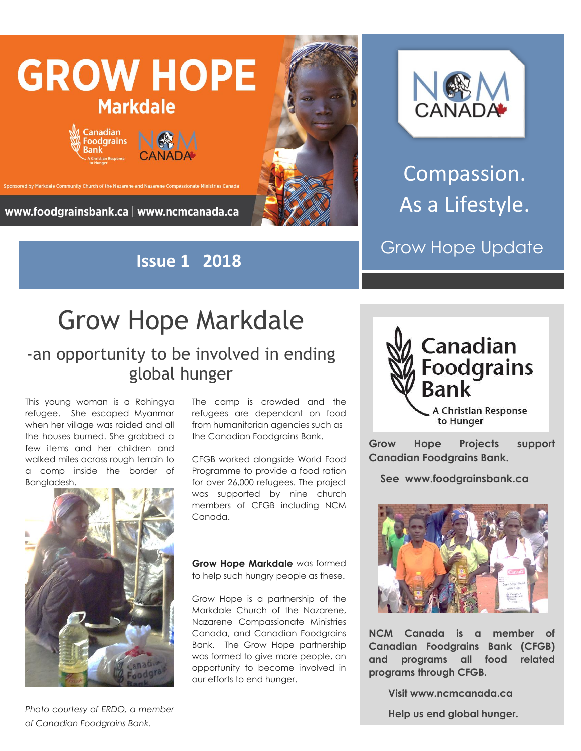

**Issue 1 2018**



Compassion. As a Lifestyle.

Grow Hope Update

## Grow Hope Markdale

## -an opportunity to be involved in ending global hunger

This young woman is a Rohingya refugee. She escaped Myanmar when her village was raided and all the houses burned. She grabbed a few items and her children and walked miles across rough terrain to a comp inside the border of Bangladesh.



The camp is crowded and the refugees are dependant on food from humanitarian agencies such as the Canadian Foodgrains Bank.

CFGB worked alongside World Food Programme to provide a food ration for over 26,000 refugees. The project was supported by nine church members of CFGB including NCM Canada.

**Grow Hope Markdale** was formed to help such hungry people as these.

Grow Hope is a partnership of the Markdale Church of the Nazarene, Nazarene Compassionate Ministries Canada, and Canadian Foodgrains Bank. The Grow Hope partnership was formed to give more people, an opportunity to become involved in our efforts to end hunger.



**Grow Hope Projects support Canadian Foodgrains Bank.** 

 **See www.foodgrainsbank.ca**



**NCM Canada is a member of Canadian Foodgrains Bank (CFGB) and programs all food related programs through CFGB.**

 **Visit www.ncmcanada.ca**

 **Help us end global hunger.**

*Photo courtesy of ERDO, a member of Canadian Foodgrains Bank.*